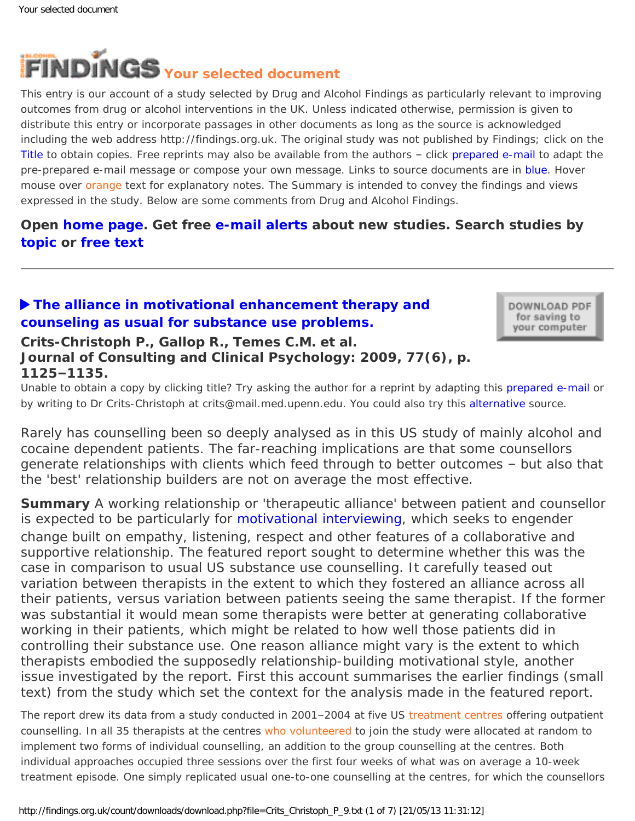<span id="page-0-0"></span>

This entry is our account of a study selected by Drug and Alcohol Findings as particularly relevant to improving outcomes from drug or alcohol interventions in the UK. Unless indicated otherwise, permission is given to distribute this entry or incorporate passages in other documents as long as the source is acknowledged including the web address http://findings.org.uk. The original study was not published by Findings; click on the Title to obtain copies. Free reprints may also be available from the authors – click prepared e-mail to adapt the pre-prepared e-mail message or compose your own message. Links to source documents are in blue. Hover mouse over orange text for explanatory notes. The Summary is intended to convey the findings and views expressed in the study. Below are some comments from Drug and Alcohol Findings.

# **Open [home page](https://findings.org.uk/index.php). Get free [e-mail alerts](https://findings.org.uk/index.php#signUp) about new studies. Search studies by [topic](https://findings.org.uk/topic_search.htm) or [free text](https://findings.org.uk/free_search.htm)**

# **[The alliance in motivational enhancement therapy and](http://dx.doi.org/10.1037/a0017045)  [counseling as usual for substance use problems.](http://dx.doi.org/10.1037/a0017045)**

DOWNLOAD PDF for saving to your computer

#### **Crits-Christoph P., Gallop R., Temes C.M. et al. Journal of Consulting and Clinical Psychology: 2009, 77(6), p. 1125–1135.**

Unable to obtain a copy by clicking title? Try asking the author for a reprint by adapting this [prepared e-mail](mailto:crits@mail.med.upenn.edu?Subject=Reprint%20request&body=Dear Dr Crits-Christoph%0A%0AOn the Drug and Alcohol Findings web site (https://findings.org.uk) I read about your article:%0ACrits-Christoph P., Gallop R., Temes C.M. et al. The alliance in motivational enhancement therapy and counseling as usual for substance use problems. Journal of Consulting and Clinical Psychology: 2009, 77(6), p. 1125-1135.%0A%0AWould it be possible to for me to be sent a PDF reprint or the manuscript by replying to this e-mail?%0A) or by writing to Dr Crits-Christoph at crits@mail.med.upenn.edu. You could also try this [alternative](http://www.ncbi.nlm.nih.gov/pmc/articles/PMC2829757/) source.

*Rarely has counselling been so deeply analysed as in this US study of mainly alcohol and cocaine dependent patients. The far-reaching implications are that some counsellors generate relationships with clients which feed through to better outcomes – but also that the 'best' relationship builders are not on average the most effective.*

**Summary** A working relationship or 'therapeutic alliance' between patient and counsellor is expected to be particularly for [motivational interviewing,](https://findings.org.uk/count/downloads/download.php?file=MI.hot) which seeks to engender change built on empathy, listening, respect and other features of a collaborative and supportive relationship. The featured report sought to determine whether this was the case in comparison to usual US substance use counselling. It carefully teased out variation between therapists in the extent to which they fostered an alliance across *all* their patients, versus variation between patients seeing the same therapist. If the former was substantial it would mean some therapists were better at generating collaborative working in their patients, which might be related to how well those patients did in controlling their substance use. One reason alliance might vary is the extent to which therapists embodied the supposedly relationship-building motivational style, another issue investigated by the report. First this account summarises the earlier findings (small text) from the study which set the context for the analysis made in the featured report.

The report drew its data from a study conducted in 2001–2004 at five US [treatment centres](#page-0-0) offering outpatient counselling. In all 35 therapists at the centres [who volunteered](#page-0-0) to join the study were allocated at random to implement two forms of individual counselling, an addition to the group counselling at the centres. Both individual approaches occupied three sessions over the first four weeks of what was on average a 10-week treatment episode. One simply replicated usual one-to-one counselling at the centres, for which the counsellors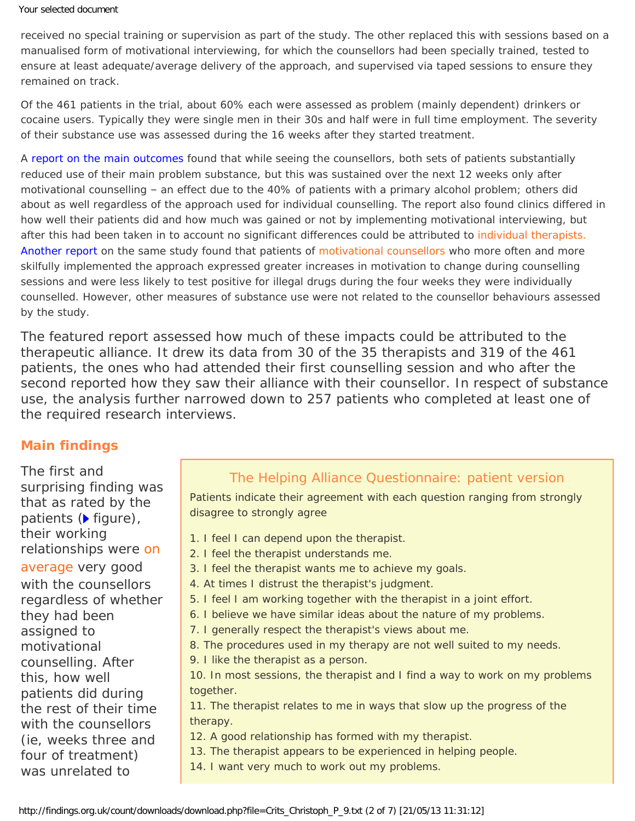received no special training or supervision as part of the study. The other replaced this with sessions based on a manualised form of motivational interviewing, for which the counsellors had been specially trained, tested to ensure at least adequate/average delivery of the approach, and supervised via taped sessions to ensure they remained on track.

Of the 461 patients in the trial, about 60% each were assessed as problem (mainly dependent) drinkers or cocaine users. Typically they were single men in their 30s and half were in full time employment. The severity of their substance use was assessed during the 16 weeks after they started treatment.

A [report on the main outcomes](http://dx.doi.org/10.1037/0022-006X.75.4.556) found that while seeing the counsellors, both sets of patients substantially reduced use of their main problem substance, but this was sustained over the next 12 weeks only after motivational counselling – an effect due to the 40% of patients with a primary alcohol problem; others did about as well regardless of the approach used for individual counselling. The report also found clinics differed in how well their patients did and how much was gained or not by implementing motivational interviewing, but after this had been taken in to account no significant differences could be attributed to individual therapists. [Another report](http://dx.doi.org/10.1016/j.drugalcdep.2008.01.020) on the same study found that patients of [motivational counsellors](#page-0-0) who more often and more skilfully implemented the approach expressed greater increases in motivation to change during counselling sessions and were less likely to test positive for illegal drugs during the four weeks they were individually counselled. However, other measures of substance use were not related to the counsellor behaviours assessed by the study.

The featured report assessed how much of these impacts could be attributed to the therapeutic alliance. It drew its data from 30 of the 35 therapists and 319 of the 461 patients, the ones who had attended their first counselling session and who after the second reported how they saw their alliance with their counsellor. In respect of substance use, the analysis further narrowed down to 257 patients who completed at least one of the required research interviews.

#### **Main findings**

The first and surprising finding was that as rated by the patients  $(\triangleright$  figure), their working relationships were [on](#page-0-0) [average](#page-0-0) very good with the counsellors regardless of whether they had been assigned to motivational counselling. After this, how well patients did during the rest of their time with the counsellors (ie, weeks three and four of treatment) was unrelated to

### The Helping Alliance Questionnaire: patient version

Patients indicate their agreement with each question ranging from strongly disagree to strongly agree

- 1. I feel I can depend upon the therapist.
- 2. I feel the therapist understands me.
- 3. I feel the therapist wants me to achieve my goals.
- 4. At times I distrust the therapist's judgment.
- 5. I feel I am working together with the therapist in a joint effort.
- 6. I believe we have similar ideas about the nature of my problems.
	- 7. I generally respect the therapist's views about me.
	- 8. The procedures used in my therapy are not well suited to my needs.
	- 9. I like the therapist as a person.

10. In most sessions, the therapist and I find a way to work on my problems together.

11. The therapist relates to me in ways that slow up the progress of the therapy.

12. A good relationship has formed with my therapist.

13. The therapist appears to be experienced in helping people.

14. I want very much to work out my problems.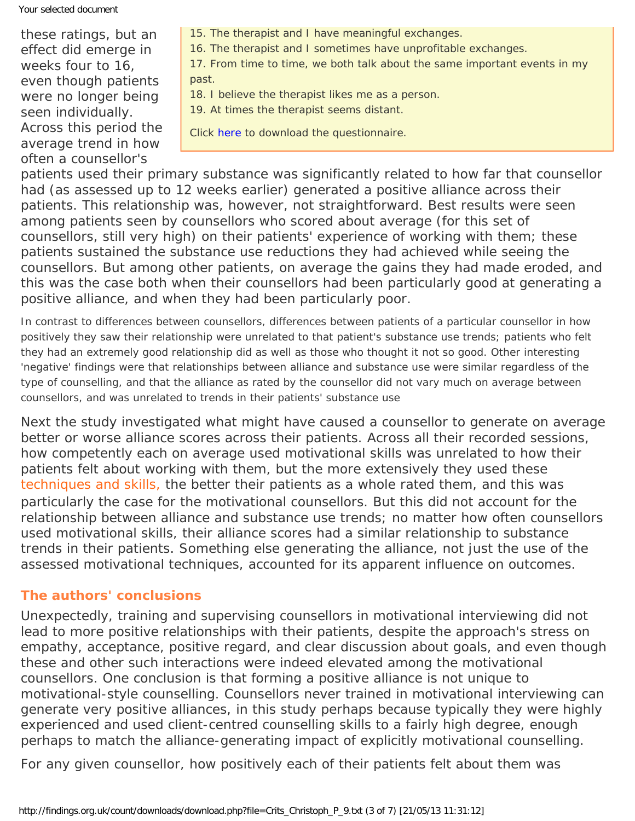Your selected document

these ratings, but an effect did emerge in weeks four to 16, even though patients were no longer being seen individually. Across this period the average trend in how often a counsellor's

- 15. The therapist and I have meaningful exchanges.
- 16. The therapist and I sometimes have unprofitable exchanges.

17. From time to time, we both talk about the same important events in my past.

- 18. I believe the therapist likes me as a person.
- 19. At times the therapist seems distant.

Click [here](http://www.med.upenn.edu/cpr/documents/HAQ2QUES.pdf) to download the questionnaire.

patients used their primary substance was significantly related to how far that counsellor had (as assessed up to 12 weeks earlier) generated a positive alliance across their patients. This relationship was, however, not straightforward. Best results were seen among patients seen by counsellors who scored about average (for this set of counsellors, still very high) on their patients' experience of working with them; these patients sustained the substance use reductions they had achieved while seeing the counsellors. But among other patients, on average the gains they had made eroded, and this was the case both when their counsellors had been particularly good at generating a positive alliance, and when they had been particularly poor.

In contrast to differences between counsellors, differences between patients of a particular counsellor in how positively they saw their relationship were unrelated to that patient's substance use trends; patients who felt they had an extremely good relationship did as well as those who thought it not so good. Other interesting 'negative' findings were that relationships between alliance and substance use were similar regardless of the type of counselling, and that the alliance as rated by the counsellor did not vary much on average between counsellors, and was unrelated to trends in their patients' substance use

Next the study investigated what might have caused a counsellor to generate on average better or worse alliance scores across their patients. Across all their recorded sessions, how competently each on average used motivational skills was unrelated to how their patients felt about working with them, but the more *extensively* they used these [techniques and skills,](#page-0-0) the better their patients as a whole rated them, and this was particularly the case for the motivational counsellors. But this did not account for the relationship between alliance and substance use trends; no matter how often counsellors used motivational skills, their alliance scores had a similar relationship to substance trends in their patients. Something else generating the alliance, not just the use of the assessed motivational techniques, accounted for its apparent influence on outcomes.

### **The authors' conclusions**

Unexpectedly, training and supervising counsellors in motivational interviewing did not lead to more positive relationships with their patients, despite the approach's stress on empathy, acceptance, positive regard, and clear discussion about goals, and even though these and other such interactions were indeed elevated among the motivational counsellors. One conclusion is that forming a positive alliance is not unique to motivational-style counselling. Counsellors never trained in motivational interviewing can generate very positive alliances, in this study perhaps because typically they were highly experienced and used client-centred counselling skills to a fairly high degree, enough perhaps to match the alliance-generating impact of explicitly motivational counselling.

For any given counsellor, how positively each of their patients felt about them was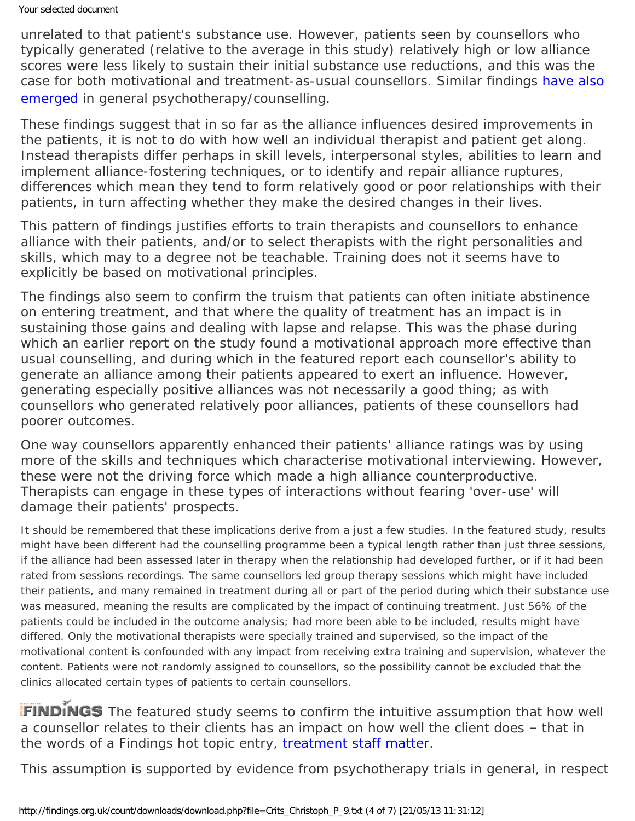unrelated to that patient's substance use. However, patients seen by counsellors who typically generated (relative to the average in this study) relatively high or low alliance scores were less likely to sustain their initial substance use reductions, and this was the case for both motivational and treatment-as-usual counsellors. Similar findings [have also](http://dx.doi.org/10.1037/0022-006X.75.6.842)  [emerged](http://dx.doi.org/10.1037/0022-006X.75.6.842) in general psychotherapy/counselling.

These findings suggest that in so far as the alliance influences desired improvements in the patients, it is not to do with how well an individual therapist and patient get along. Instead therapists differ perhaps in skill levels, interpersonal styles, abilities to learn and implement alliance-fostering techniques, or to identify and repair alliance ruptures, differences which mean they tend to form relatively good or poor relationships with their patients, in turn affecting whether they make the desired changes in their lives.

This pattern of findings justifies efforts to train therapists and counsellors to enhance alliance with their patients, and/or to select therapists with the right personalities and skills, which may to a degree not be teachable. Training does not it seems have to explicitly be based on motivational principles.

The findings also seem to confirm the truism that patients can often initiate abstinence on entering treatment, and that where the quality of treatment has an impact is in sustaining those gains and dealing with lapse and relapse. This was the phase during which an earlier report on the study found a motivational approach more effective than usual counselling, and during which in the featured report each counsellor's ability to generate an alliance among their patients appeared to exert an influence. However, generating especially positive alliances was not necessarily a good thing; as with counsellors who generated relatively poor alliances, patients of these counsellors had poorer outcomes.

One way counsellors apparently enhanced their patients' alliance ratings was by using more of the skills and techniques which characterise motivational interviewing. However, these were not the driving force which made a high alliance counterproductive. Therapists can engage in these types of interactions without fearing 'over-use' will damage their patients' prospects.

It should be remembered that these implications derive from a just a few studies. In the featured study, results might have been different had the counselling programme been a typical length rather than just three sessions, if the alliance had been assessed later in therapy when the relationship had developed further, or if it had been rated from sessions recordings. The same counsellors led group therapy sessions which might have included their patients, and many remained in treatment during all or part of the period during which their substance use was measured, meaning the results are complicated by the impact of continuing treatment. Just 56% of the patients could be included in the outcome analysis; had more been able to be included, results might have differed. Only the motivational therapists were specially trained and supervised, so the impact of the motivational content is confounded with any impact from receiving extra training and supervision, whatever the content. Patients were not randomly assigned to counsellors, so the possibility cannot be excluded that the clinics allocated certain types of patients to certain counsellors.

FINDINGS The featured study seems to confirm the intuitive assumption that how well a counsellor relates to their clients has an impact on how well the client does – that in the words of a Findings hot topic entry, [treatment staff matter](https://findings.org.uk/count/downloads/download.php?file=hot_workforce.hot).

This assumption is supported by evidence from psychotherapy trials in general, in respect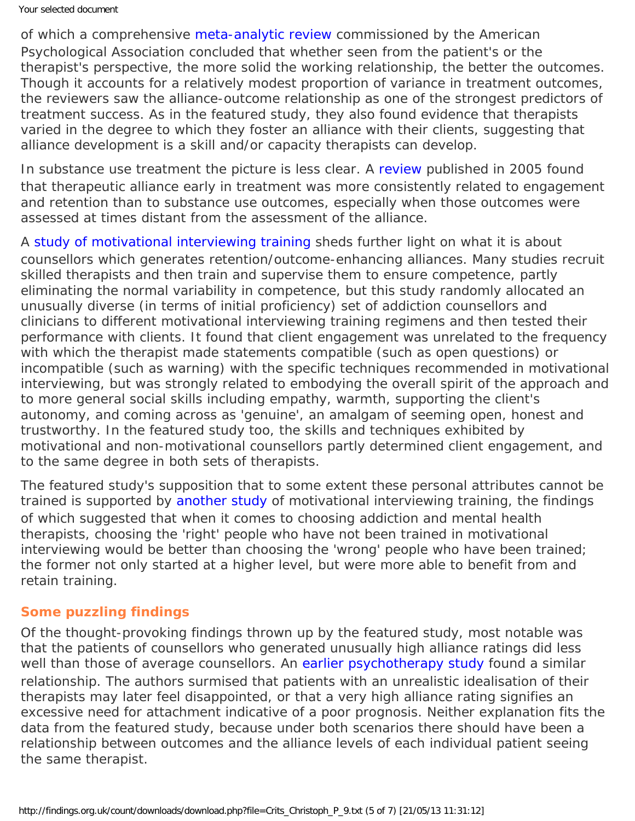of which a comprehensive [meta-analytic review](https://findings.org.uk/count/downloads/download.php?file=Horvath_AO_2.cab) commissioned by the American Psychological Association concluded that whether seen from the patient's or the therapist's perspective, the more solid the working relationship, the better the outcomes. Though it accounts for a relatively modest proportion of variance in treatment outcomes, the reviewers saw the alliance-outcome relationship as one of the strongest predictors of treatment success. As in the featured study, they also found evidence that therapists varied in the degree to which they foster an alliance with their clients, suggesting that alliance development is a skill and/or capacity therapists can develop.

In substance use treatment the picture is less clear. A [review](http://dx.doi.org/10.1111/j.1360-0443.2004.00935.x) published in 2005 found that therapeutic alliance early in treatment was more consistently related to engagement and retention than to substance use outcomes, especially when those outcomes were assessed at times distant from the assessment of the alliance.

A [study of motivational interviewing training](https://findings.org.uk/count/downloads/download.php?file=Moyers_TB_1.txt) sheds further light on what it is about counsellors which generates retention/outcome-enhancing alliances. Many studies recruit skilled therapists and then train and supervise them to ensure competence, partly eliminating the normal variability in competence, but this study randomly allocated an unusually diverse (in terms of initial proficiency) set of addiction counsellors and clinicians to different motivational interviewing training regimens and then tested their performance with clients. It found that client engagement was unrelated to the frequency with which the therapist made statements compatible (such as open questions) or incompatible (such as warning) with the specific techniques recommended in motivational interviewing, but was strongly related to embodying the overall spirit of the approach and to more general social skills including empathy, warmth, supporting the client's autonomy, and coming across as 'genuine', an amalgam of seeming open, honest and trustworthy. In the featured study too, the skills and techniques exhibited by motivational and non-motivational counsellors partly determined client engagement, and to the same degree in both sets of therapists.

The featured study's supposition that to some extent these personal attributes cannot be trained is supported by [another study](https://findings.org.uk/count/downloads/download.php?file=Baer_JS_2.txt) of motivational interviewing training, the findings of which suggested that when it comes to choosing addiction and mental health therapists, choosing the 'right' people who have not been trained in motivational interviewing would be better than choosing the 'wrong' people who have been trained; the former not only started at a higher level, but were more able to benefit from and retain training.

#### **Some puzzling findings**

Of the thought-provoking findings thrown up by the featured study, most notable was that the patients of counsellors who generated unusually high alliance ratings did less well than those of average counsellors. An [earlier psychotherapy study](http://psycnet.apa.org/?fa=main.doiLanding&doi=10.1037/1040-3590.1.4.323) found a similar relationship. The authors surmised that patients with an unrealistic idealisation of their therapists may later feel disappointed, or that a very high alliance rating signifies an excessive need for attachment indicative of a poor prognosis. Neither explanation fits the data from the featured study, because under both scenarios there should have been a relationship between outcomes and the alliance levels of each individual patient seeing the same therapist.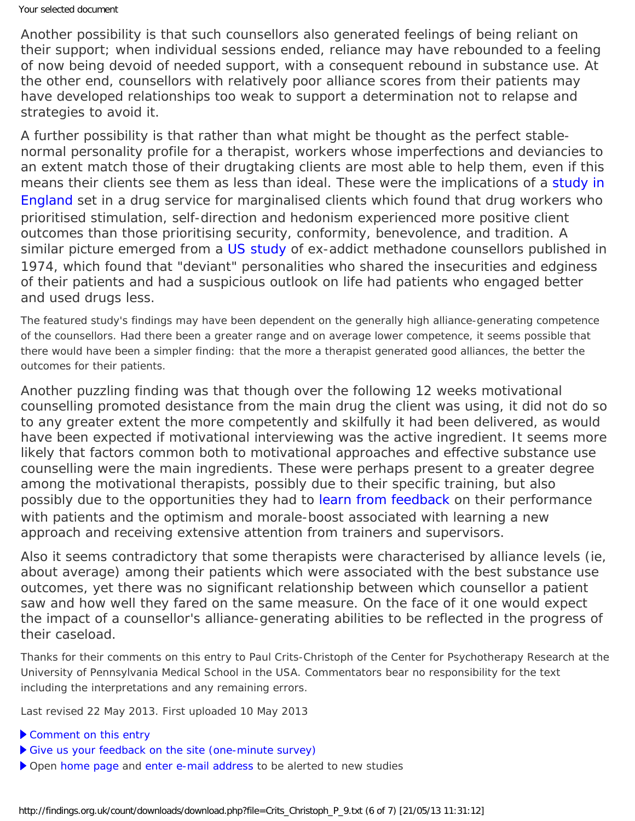Another possibility is that such counsellors also generated feelings of being reliant on their support; when individual sessions ended, reliance may have rebounded to a feeling of now being devoid of needed support, with a consequent rebound in substance use. At the other end, counsellors with relatively poor alliance scores from their patients may have developed relationships too weak to support a determination not to relapse and strategies to avoid it.

A further possibility is that rather than what might be thought as the perfect stablenormal personality profile for a therapist, workers whose imperfections and deviancies to an extent match those of their drugtaking clients are most able to help them, even if this means their clients see them as less than ideal. These were the implications of a [study in](https://findings.org.uk/count/downloads/download.php?file=Phillips_R_2.txt) [England](https://findings.org.uk/count/downloads/download.php?file=Phillips_R_2.txt) set in a drug service for marginalised clients which found that drug workers who prioritised stimulation, self-direction and hedonism experienced more positive client outcomes than those prioritising security, conformity, benevolence, and tradition. A similar picture emerged from a [US study](http://dx.doi.org/10.1037/h0086376) of ex-addict methadone counsellors published in 1974, which found that "deviant" personalities who shared the insecurities and edginess of their patients and had a suspicious outlook on life had patients who engaged better and used drugs less.

The featured study's findings may have been dependent on the generally high alliance-generating competence of the counsellors. Had there been a greater range and on average lower competence, it seems possible that there would have been a simpler finding: that the more a therapist generated good alliances, the better the outcomes for their patients.

Another puzzling finding was that though over the following 12 weeks motivational counselling promoted desistance from the main drug the client was using, it did not do so to any greater extent the more competently and skilfully it had been delivered, as would have been expected if motivational interviewing was the active ingredient. It seems more likely that factors common both to motivational approaches and effective substance use counselling were the main ingredients. These were perhaps present to a greater degree among the motivational therapists, possibly due to their specific training, but also possibly due to the opportunities they had to [learn from feedback](https://findings.org.uk/count/downloads/download.php?file=Crits_Christoph_P_14.txt) on their performance with patients and the optimism and morale-boost associated with learning a new approach and receiving extensive attention from trainers and supervisors.

Also it seems contradictory that some therapists were characterised by alliance levels (ie, about average) among their patients which were associated with the best substance use outcomes, yet there was no significant relationship between which counsellor a patient saw and how well they fared on the same measure. On the face of it one would expect the impact of a counsellor's alliance-generating abilities to be reflected in the progress of their caseload.

*Thanks for their comments on this entry to Paul Crits-Christoph of the Center for Psychotherapy Research at the University of Pennsylvania Medical School in the USA. Commentators bear no responsibility for the text including the interpretations and any remaining errors.*

Last revised 22 May 2013. First uploaded 10 May 2013

- [Comment on this entry](mailto:editor@findings.org.uk?Subject=Findings%20entry:%20The%20alliance%20in%20motivational%20enhancement%20therapy%20and%20counseling%20as%20usual%20for%20substance%20use%20problems)
- [Give us your feedback on the site \(one-minute survey\)](https://www.surveymonkey.com/s/EB_2012)
- Open [home page](https://findings.org.uk/index.php) and [enter e-mail address](https://findings.org.uk/index.php#signUp) to be alerted to new studies